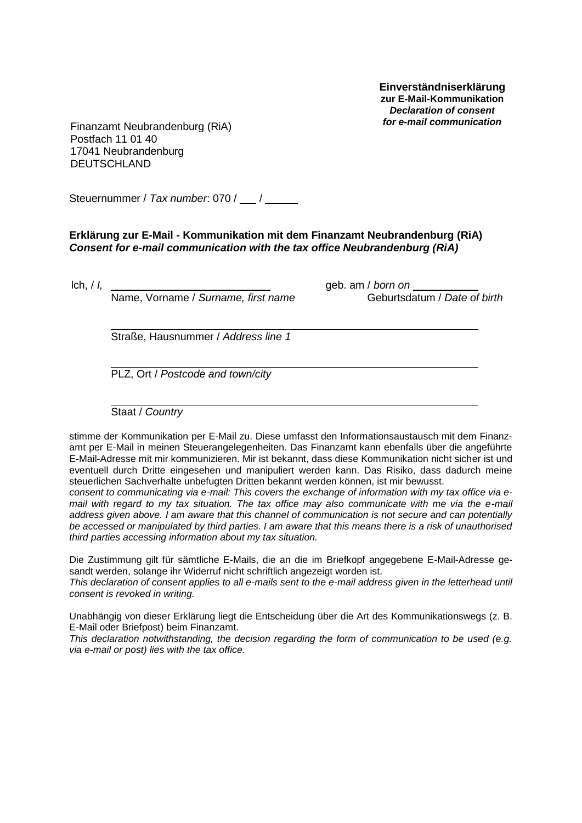**Einverständniserklärung zur E-Mail-Kommunikation** *Declaration of consent*

*for e-mail communication* Finanzamt Neubrandenburg (RiA) Postfach 11 01 40 17041 Neubrandenburg DEUTSCHLAND

Steuernummer / *Tax number*: 070 / /

**Erklärung zur E-Mail - Kommunikation mit dem Finanzamt Neubrandenburg (RiA)** *Consent for e-mail communication with the tax office Neubrandenburg (RiA)*

Name, Vorname / *Surname, first name* Geburtsdatum / *Date of birth*

lch, / *I,* geb. am / *born on* 

Straße, Hausnummer / *Address line 1*

PLZ, Ort / *Postcode and town/city*

Staat / *Country*

stimme der Kommunikation per E-Mail zu. Diese umfasst den Informationsaustausch mit dem Finanzamt per E-Mail in meinen Steuerangelegenheiten. Das Finanzamt kann ebenfalls über die angeführte E-Mail-Adresse mit mir kommunizieren. Mir ist bekannt, dass diese Kommunikation nicht sicher ist und eventuell durch Dritte eingesehen und manipuliert werden kann. Das Risiko, dass dadurch meine steuerlichen Sachverhalte unbefugten Dritten bekannt werden können, ist mir bewusst.

*consent to communicating via e-mail: This covers the exchange of information with my tax office via email with regard to my tax situation. The tax office may also communicate with me via the e-mail address given above. I am aware that this channel of communication is not secure and can potentially be accessed or manipulated by third parties. I am aware that this means there is a risk of unauthorised third parties accessing information about my tax situation.*

Die Zustimmung gilt für sämtliche E-Mails, die an die im Briefkopf angegebene E-Mail-Adresse gesandt werden, solange ihr Widerruf nicht schriftlich angezeigt worden ist.

*This declaration of consent applies to all e-mails sent to the e-mail address given in the letterhead until consent is revoked in writing.*

Unabhängig von dieser Erklärung liegt die Entscheidung über die Art des Kommunikationswegs (z. B. E-Mail oder Briefpost) beim Finanzamt.

*This declaration notwithstanding, the decision regarding the form of communication to be used (e.g. via e-mail or post) lies with the tax office.*